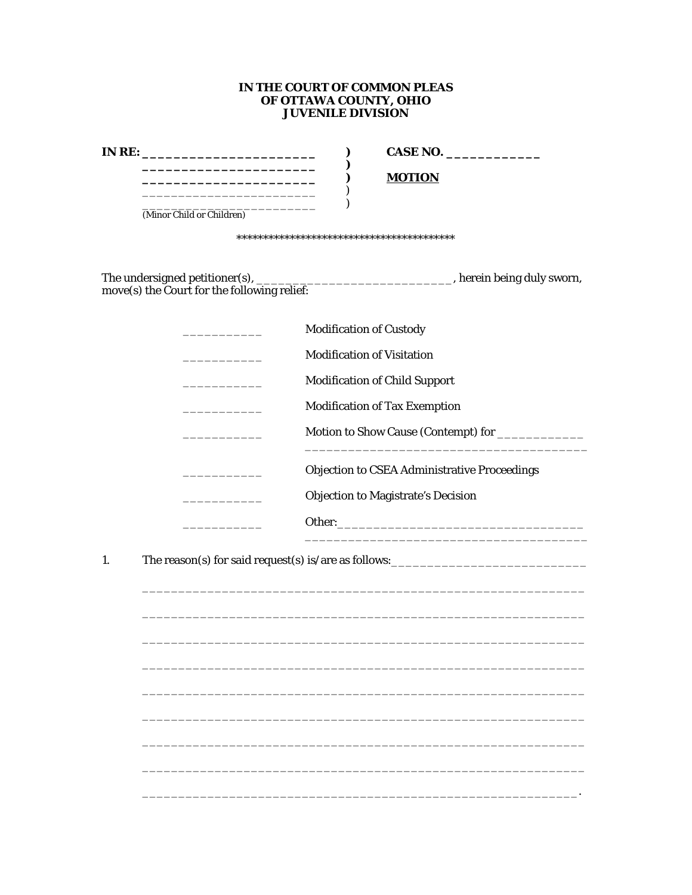## IN THE COURT OF COMMON PLEAS OF OTTAWA COUNTY, OHIO **JUVENILE DIVISION**

|                                                                                             | CASE NO.                                                                                                                    |  |  |  |
|---------------------------------------------------------------------------------------------|-----------------------------------------------------------------------------------------------------------------------------|--|--|--|
| _______________________                                                                     | <b>MOTION</b>                                                                                                               |  |  |  |
| <u> 1980 - Johann John Stone, mars eta biztanleria (</u>                                    | <u> 1989 - John Barnett, fransk politiker</u>                                                                               |  |  |  |
| (Minor Child or Children)                                                                   |                                                                                                                             |  |  |  |
|                                                                                             |                                                                                                                             |  |  |  |
|                                                                                             | The undersigned petitioner(s), $\frac{1}{\text{move}}$ herein being duly sworn, move(s) the Court for the following relief: |  |  |  |
|                                                                                             | <b>Modification of Custody</b>                                                                                              |  |  |  |
|                                                                                             | <b>Modification of Visitation</b>                                                                                           |  |  |  |
|                                                                                             | <b>Modification of Child Support</b>                                                                                        |  |  |  |
| $\mathcal{L}_{\mathcal{A}}$ and $\mathcal{L}_{\mathcal{A}}$ and $\mathcal{L}_{\mathcal{A}}$ | <b>Modification of Tax Exemption</b>                                                                                        |  |  |  |
| the company of the company of                                                               |                                                                                                                             |  |  |  |
| <u> 1990 - Johann Barnett, fransk politiker</u>                                             | <b>Objection to CSEA Administrative Proceedings</b>                                                                         |  |  |  |
| <u> 1990 - Johann Barnett, fransk politiker</u>                                             | <b>Objection to Magistrate's Decision</b>                                                                                   |  |  |  |
|                                                                                             |                                                                                                                             |  |  |  |
|                                                                                             |                                                                                                                             |  |  |  |
| 1.                                                                                          |                                                                                                                             |  |  |  |
|                                                                                             |                                                                                                                             |  |  |  |
|                                                                                             |                                                                                                                             |  |  |  |
|                                                                                             |                                                                                                                             |  |  |  |
|                                                                                             |                                                                                                                             |  |  |  |
|                                                                                             |                                                                                                                             |  |  |  |
|                                                                                             |                                                                                                                             |  |  |  |
|                                                                                             |                                                                                                                             |  |  |  |
|                                                                                             |                                                                                                                             |  |  |  |
|                                                                                             |                                                                                                                             |  |  |  |